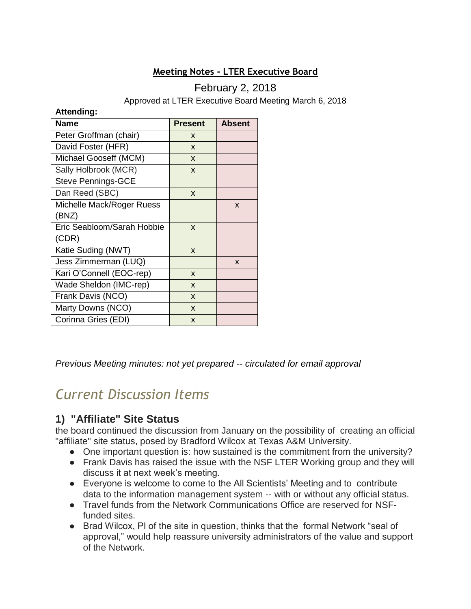#### **Meeting Notes - LTER Executive Board**

#### February 2, 2018

Approved at LTER Executive Board Meeting March 6, 2018

#### **Attending:**

| <b>Name</b>                | <b>Present</b> | <b>Absent</b> |
|----------------------------|----------------|---------------|
| Peter Groffman (chair)     | X              |               |
| David Foster (HFR)         | X              |               |
| Michael Gooseff (MCM)      | X              |               |
| Sally Holbrook (MCR)       | X              |               |
| <b>Steve Pennings-GCE</b>  |                |               |
| Dan Reed (SBC)             | X              |               |
| Michelle Mack/Roger Ruess  |                | X             |
| (BNZ)                      |                |               |
| Eric Seabloom/Sarah Hobbie | X              |               |
| (CDR)                      |                |               |
| Katie Suding (NWT)         | X              |               |
| Jess Zimmerman (LUQ)       |                | X             |
| Kari O'Connell (EOC-rep)   | X              |               |
| Wade Sheldon (IMC-rep)     | X              |               |
| Frank Davis (NCO)          | X              |               |
| Marty Downs (NCO)          | X              |               |
| Corinna Gries (EDI)        | X              |               |

*Previous Meeting minutes: not yet prepared -- circulated for email approval*

# *Current Discussion Items*

#### **1) "Affiliate" Site Status**

the board continued the discussion from January on the possibility of creating an official "affiliate" site status, posed by Bradford Wilcox at Texas A&M University.

- One important question is: how sustained is the commitment from the university?
- Frank Davis has raised the issue with the NSF LTER Working group and they will discuss it at next week's meeting.
- Everyone is welcome to come to the All Scientists' Meeting and to contribute data to the information management system -- with or without any official status.
- Travel funds from the Network Communications Office are reserved for NSFfunded sites.
- Brad Wilcox, PI of the site in question, thinks that the formal Network "seal of approval," would help reassure university administrators of the value and support of the Network.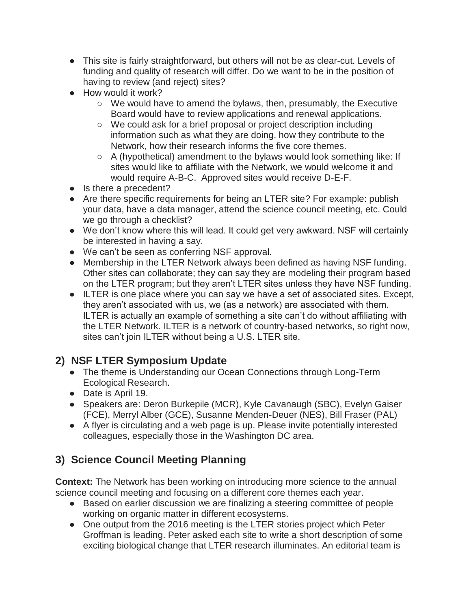- This site is fairly straightforward, but others will not be as clear-cut. Levels of funding and quality of research will differ. Do we want to be in the position of having to review (and reject) sites?
- How would it work?
	- $\circ$  We would have to amend the bylaws, then, presumably, the Executive Board would have to review applications and renewal applications.
	- We could ask for a brief proposal or project description including information such as what they are doing, how they contribute to the Network, how their research informs the five core themes.
	- A (hypothetical) amendment to the bylaws would look something like: If sites would like to affiliate with the Network, we would welcome it and would require A-B-C. Approved sites would receive D-E-F.
- Is there a precedent?
- Are there specific requirements for being an LTER site? For example: publish your data, have a data manager, attend the science council meeting, etc. Could we go through a checklist?
- We don't know where this will lead. It could get very awkward. NSF will certainly be interested in having a say.
- We can't be seen as conferring NSF approval.
- Membership in the LTER Network always been defined as having NSF funding. Other sites can collaborate; they can say they are modeling their program based on the LTER program; but they aren't LTER sites unless they have NSF funding.
- ILTER is one place where you can say we have a set of associated sites. Except, they aren't associated with us, we (as a network) are associated with them. ILTER is actually an example of something a site can't do without affiliating with the LTER Network. ILTER is a network of country-based networks, so right now, sites can't join ILTER without being a U.S. LTER site.

## **2) NSF LTER Symposium Update**

- The theme is Understanding our Ocean Connections through Long-Term Ecological Research.
- Date is April 19.
- Speakers are: Deron Burkepile (MCR), Kyle Cavanaugh (SBC), Evelyn Gaiser (FCE), Merryl Alber (GCE), Susanne Menden-Deuer (NES), Bill Fraser (PAL)
- A flyer is circulating and a web page is up. Please invite potentially interested colleagues, especially those in the Washington DC area.

# **3) Science Council Meeting Planning**

**Context:** The Network has been working on introducing more science to the annual science council meeting and focusing on a different core themes each year.

- Based on earlier discussion we are finalizing a steering committee of people working on organic matter in different ecosystems.
- One output from the 2016 meeting is the LTER stories project which Peter Groffman is leading. Peter asked each site to write a short description of some exciting biological change that LTER research illuminates. An editorial team is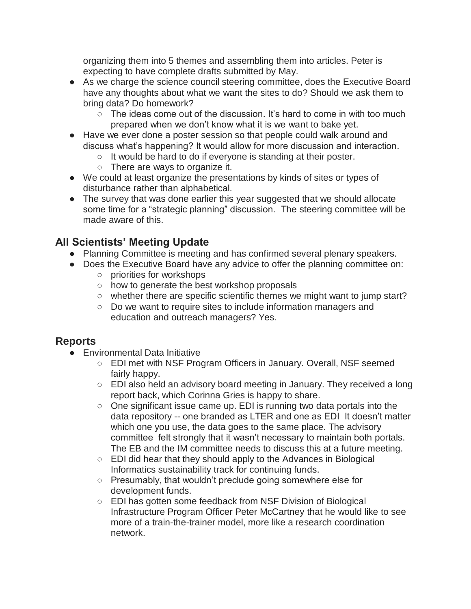organizing them into 5 themes and assembling them into articles. Peter is expecting to have complete drafts submitted by May.

- As we charge the science council steering committee, does the Executive Board have any thoughts about what we want the sites to do? Should we ask them to bring data? Do homework?
	- $\circ$  The ideas come out of the discussion. It's hard to come in with too much prepared when we don't know what it is we want to bake yet.
- Have we ever done a poster session so that people could walk around and discuss what's happening? It would allow for more discussion and interaction.
	- It would be hard to do if everyone is standing at their poster.
	- There are ways to organize it.
- We could at least organize the presentations by kinds of sites or types of disturbance rather than alphabetical.
- The survey that was done earlier this year suggested that we should allocate some time for a "strategic planning" discussion. The steering committee will be made aware of this.

### **All Scientists' Meeting Update**

- Planning Committee is meeting and has confirmed several plenary speakers.
- Does the Executive Board have any advice to offer the planning committee on: ○ priorities for workshops
	- how to generate the best workshop proposals
	- whether there are specific scientific themes we might want to jump start?
	- Do we want to require sites to include information managers and education and outreach managers? Yes.

#### **Reports**

- Environmental Data Initiative
	- EDI met with NSF Program Officers in January. Overall, NSF seemed fairly happy.
	- EDI also held an advisory board meeting in January. They received a long report back, which Corinna Gries is happy to share.
	- One significant issue came up. EDI is running two data portals into the data repository -- one branded as LTER and one as EDI It doesn't matter which one you use, the data goes to the same place. The advisory committee felt strongly that it wasn't necessary to maintain both portals. The EB and the IM committee needs to discuss this at a future meeting.
	- EDI did hear that they should apply to the Advances in Biological Informatics sustainability track for continuing funds.
	- Presumably, that wouldn't preclude going somewhere else for development funds.
	- EDI has gotten some feedback from NSF Division of Biological Infrastructure Program Officer Peter McCartney that he would like to see more of a train-the-trainer model, more like a research coordination network.